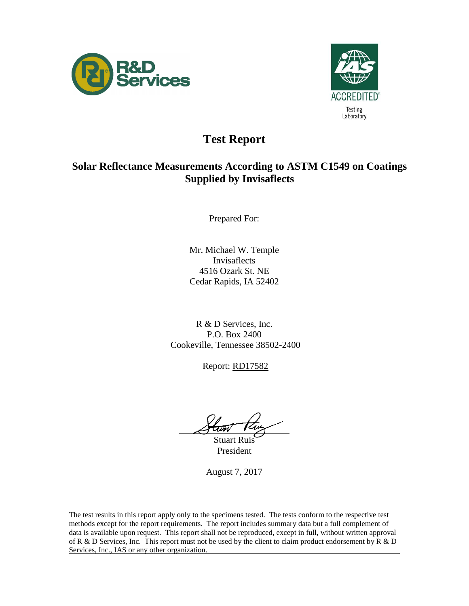



## **Test Report**

### **Solar Reflectance Measurements According to ASTM C1549 on Coatings Supplied by Invisaflects**

Prepared For:

Mr. Michael W. Temple Invisaflects 4516 Ozark St. NE Cedar Rapids, IA 52402

R & D Services, Inc. P.O. Box 2400 Cookeville, Tennessee 38502-2400

Report: RD17582

l,

Stuart Ruis President

August 7, 2017

The test results in this report apply only to the specimens tested. The tests conform to the respective test methods except for the report requirements. The report includes summary data but a full complement of data is available upon request. This report shall not be reproduced, except in full, without written approval of R & D Services, Inc. This report must not be used by the client to claim product endorsement by R & D Services, Inc., IAS or any other organization.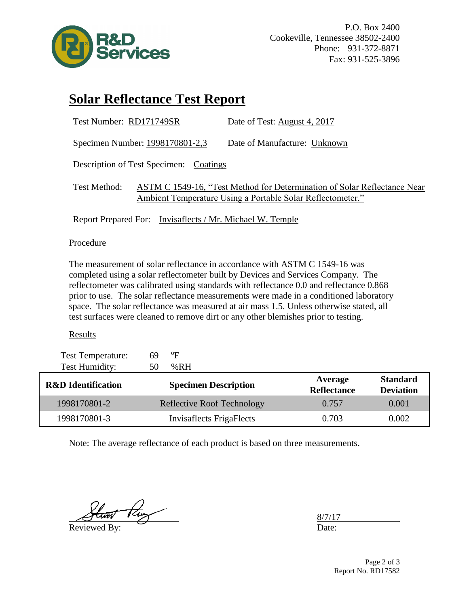

# **Solar Reflectance Test Report**

| Test Number: RD171749SR                                                                                                                                | Date of Test: August 4, 2017 |  |  |  |  |
|--------------------------------------------------------------------------------------------------------------------------------------------------------|------------------------------|--|--|--|--|
| Specimen Number: 1998170801-2,3                                                                                                                        | Date of Manufacture: Unknown |  |  |  |  |
| Description of Test Specimen: Coatings                                                                                                                 |                              |  |  |  |  |
| ASTM C 1549-16, "Test Method for Determination of Solar Reflectance Near<br>Test Method:<br>Ambient Temperature Using a Portable Solar Reflectometer." |                              |  |  |  |  |
| Report Prepared For: Invisaflects / Mr. Michael W. Temple                                                                                              |                              |  |  |  |  |

### **Procedure**

The measurement of solar reflectance in accordance with ASTM C 1549-16 was completed using a solar reflectometer built by Devices and Services Company. The reflectometer was calibrated using standards with reflectance 0.0 and reflectance 0.868 prior to use. The solar reflectance measurements were made in a conditioned laboratory space. The solar reflectance was measured at air mass 1.5. Unless otherwise stated, all test surfaces were cleaned to remove dirt or any other blemishes prior to testing.

### Results

| <b>Test Temperature:</b>      | 69 | ºF                                |                               |                                     |
|-------------------------------|----|-----------------------------------|-------------------------------|-------------------------------------|
| Test Humidity:                | 50 | %RH                               |                               |                                     |
| <b>R&amp;D</b> Identification |    | <b>Specimen Description</b>       | Average<br><b>Reflectance</b> | <b>Standard</b><br><b>Deviation</b> |
| 1998170801-2                  |    | <b>Reflective Roof Technology</b> | 0.757                         | 0.001                               |
| 1998170801-3                  |    | <b>Invisaflects FrigaFlects</b>   | 0.703                         | 0.002                               |

Note: The average reflectance of each product is based on three measurements.

 $-t_{\text{avg}}$ Reviewed By: Date:

8/7/17